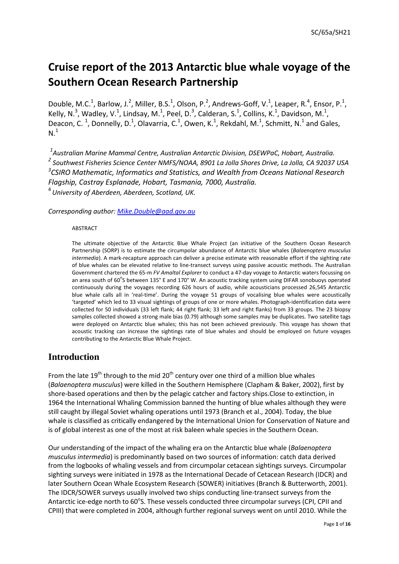# **Cruise report of the 2013 Antarctic blue whale voyage of the Southern Ocean Research Partnership**

Double, M.C.<sup>1</sup>, Barlow, J.<sup>2</sup>, Miller, B.S.<sup>1</sup>, Olson, P.<sup>2</sup>, Andrews-Goff, V.<sup>1</sup>, Leaper, R.<sup>4</sup>, Ensor, P.<sup>1</sup>, Kelly, N.<sup>3</sup>, Wadley, V.<sup>1</sup>, Lindsay, M.<sup>1</sup>, Peel, D.<sup>3</sup>, Calderan, S.<sup>1</sup>, Collins, K.<sup>1</sup>, Davidson, M.<sup>1</sup>, Deacon, C.<sup>1</sup>, Donnelly, D.<sup>1</sup>, Olavarria, C.<sup>1</sup>, Owen, K.<sup>1</sup>, Rekdahl, M.<sup>1</sup>, Schmitt, N.<sup>1</sup> and Gales,  $N<sup>1</sup>$ 

 *Australian Marine Mammal Centre, Australian Antarctic Division, DSEWPaC, Hobart, Australia. Southwest Fisheries Science Center NMFS/NOAA, 8901 La Jolla Shores Drive, La Jolla, CA 92037 USA CSIRO Mathematic, Informatics and Statistics, and Wealth from Oceans National Research Flagship, Castray Esplanade, Hobart, Tasmania, 7000, Australia. University of Aberdeen, Aberdeen, Scotland, UK.*

*Corresponding author: [Mike.Double@aad.gov.au](mailto:Mike.Double@aad.gov.au)*

#### ABSTRACT

The ultimate objective of the Antarctic Blue Whale Project (an initiative of the Southern Ocean Research Partnership (SORP) is to estimate the circumpolar abundance of Antarctic blue whales (*Balaenoptera musculus intermedia*). A mark-recapture approach can deliver a precise estimate with reasonable effort if the sighting rate of blue whales can be elevated relative to line-transect surveys using passive acoustic methods. The Australian Government chartered the 65-m *FV Amaltal Explorer* to conduct a 47-day voyage to Antarctic waters focussing on an area south of 60°S between 135° E and 170° W. An acoustic tracking system using DIFAR sonobuoys operated continuously during the voyages recording 626 hours of audio, while acousticians processed 26,545 Antarctic blue whale calls all in 'real-time'. During the voyage 51 groups of vocalising blue whales were acoustically 'targeted' which led to 33 visual sightings of groups of one or more whales. Photograph-identification data were collected for 50 individuals (33 left flank; 44 right flank; 33 left and right flanks) from 33 groups. The 23 biopsy samples collected showed a strong male bias (0.79) although some samples may be duplicates. Two satellite tags were deployed on Antarctic blue whales; this has not been achieved previously. This voyage has shown that acoustic tracking can increase the sightings rate of blue whales and should be employed on future voyages contributing to the Antarctic Blue Whale Project.

### **Introduction**

From the late 19<sup>th</sup> through to the mid 20<sup>th</sup> century over one third of a million blue whales (*Balaenoptera musculus*) were killed in the Southern Hemisphere (Clapham & Baker, 2002), first by shore-based operations and then by the pelagic catcher and factory ships.Close to extinction, in 1964 the International Whaling Commission banned the hunting of blue whales although they were still caught by illegal Soviet whaling operations until 1973 (Branch et al., 2004). Today, the blue whale is classified as critically endangered by the International Union for Conservation of Nature and is of global interest as one of the most at risk baleen whale species in the Southern Ocean.

Our understanding of the impact of the whaling era on the Antarctic blue whale (*Balaenoptera musculus intermedia*) is predominantly based on two sources of information: catch data derived from the logbooks of whaling vessels and from circumpolar cetacean sightings surveys. Circumpolar sighting surveys were initiated in 1978 as the International Decade of Cetacean Research (IDCR) and later Southern Ocean Whale Ecosystem Research (SOWER) initiatives (Branch & Butterworth, 2001). The IDCR/SOWER surveys usually involved two ships conducting line-transect surveys from the Antarctic ice-edge north to 60°S. These vessels conducted three circumpolar surveys (CPI, CPII and CPIII) that were completed in 2004, although further regional surveys went on until 2010. While the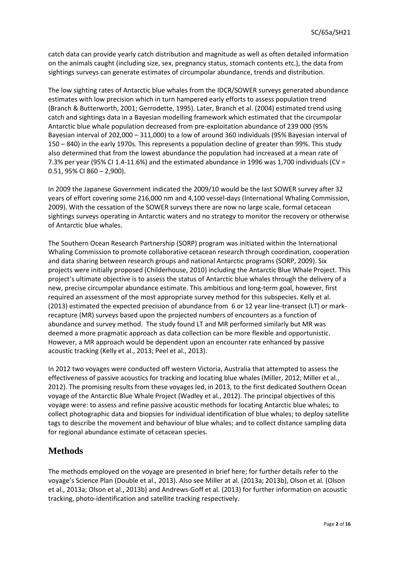catch data can provide yearly catch distribution and magnitude as well as often detailed information on the animals caught (including size, sex, pregnancy status, stomach contents etc.), the data from sightings surveys can generate estimates of circumpolar abundance, trends and distribution.

The low sighting rates of Antarctic blue whales from the IDCR/SOWER surveys generated abundance estimates with low precision which in turn hampered early efforts to assess population trend (Branch & Butterworth, 2001; Gerrodette, 1995). Later, Branch et al. (2004) estimated trend using catch and sightings data in a Bayesian modelling framework which estimated that the circumpolar Antarctic blue whale population decreased from pre-exploitation abundance of 239 000 (95% Bayesian interval of 202,000 – 311,000) to a low of around 360 individuals (95% Bayesian interval of 150 – 840) in the early 1970s. This represents a population decline of greater than 99%. This study also determined that from the lowest abundance the population had increased at a mean rate of 7.3% per year (95% CI 1.4-11.6%) and the estimated abundance in 1996 was 1,700 individuals (CV = 0.51, 95% CI 860 – 2,900).

In 2009 the Japanese Government indicated the 2009/10 would be the last SOWER survey after 32 years of effort covering some 216,000 nm and 4,100 vessel-days (International Whaling Commission, 2009). With the cessation of the SOWER surveys there are now no large scale, formal cetacean sightings surveys operating in Antarctic waters and no strategy to monitor the recovery or otherwise of Antarctic blue whales.

The Southern Ocean Research Partnership (SORP) program was initiated within the International Whaling Commission to promote collaborative cetacean research through coordination, cooperation and data sharing between research groups and national Antarctic programs (SORP, 2009). Six projects were initially proposed (Childerhouse, 2010) including the Antarctic Blue Whale Project. This project's ultimate objective is to assess the status of Antarctic blue whales through the delivery of a new, precise circumpolar abundance estimate. This ambitious and long-term goal, however, first required an assessment of the most appropriate survey method for this subspecies. Kelly et al. (2013) estimated the expected precision of abundance from 6 or 12 year line-transect (LT) or markrecapture (MR) surveys based upon the projected numbers of encounters as a function of abundance and survey method. The study found LT and MR performed similarly but MR was deemed a more pragmatic approach as data collection can be more flexible and opportunistic. However, a MR approach would be dependent upon an encounter rate enhanced by passive acoustic tracking (Kelly et al., 2013; Peel et al., 2013).

In 2012 two voyages were conducted off western Victoria, Australia that attempted to assess the effectiveness of passive acoustics for tracking and locating blue whales (Miller, 2012; Miller et al., 2012). The promising results from these voyages led, in 2013, to the first dedicated Southern Ocean voyage of the Antarctic Blue Whale Project (Wadley et al., 2012). The principal objectives of this voyage were: to assess and refine passive acoustic methods for locating Antarctic blue whales; to collect photographic data and biopsies for individual identification of blue whales; to deploy satellite tags to describe the movement and behaviour of blue whales; and to collect distance sampling data for regional abundance estimate of cetacean species.

# **Methods**

The methods employed on the voyage are presented in brief here; for further details refer to the voyage's Science Plan (Double et al., 2013). Also see Miller at al. (2013a; 2013b), Olson et al. (Olson et al., 2013a; Olson et al., 2013b) and Andrews-Goff et al. (2013) for further information on acoustic tracking, photo-identification and satellite tracking respectively.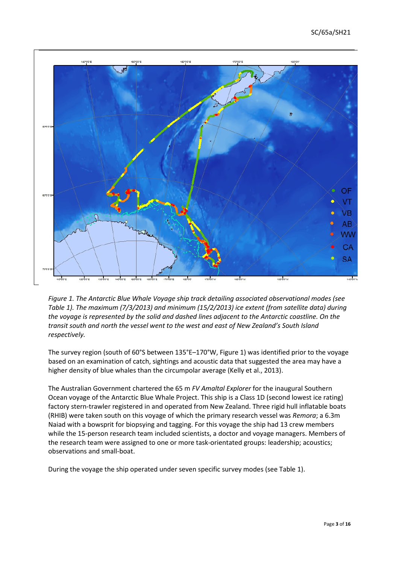

*Figure 1. The Antarctic Blue Whale Voyage ship track detailing associated observational modes (see Table 1). The maximum (7/3/2013) and minimum (15/2/2013) ice extent (from satellite data) during the voyage is represented by the solid and dashed lines adjacent to the Antarctic coastline. On the transit south and north the vessel went to the west and east of New Zealand's South Island respectively.*

The survey region (south of 60°S between 135°E–170°W, Figure 1) was identified prior to the voyage based on an examination of catch, sightings and acoustic data that suggested the area may have a higher density of blue whales than the circumpolar average (Kelly et al., 2013).

The Australian Government chartered the 65 m *FV Amaltal Explorer* for the inaugural Southern Ocean voyage of the Antarctic Blue Whale Project. This ship is a Class 1D (second lowest ice rating) factory stern-trawler registered in and operated from New Zealand. Three rigid hull inflatable boats (RHIB) were taken south on this voyage of which the primary research vessel was *Remora*; a 6.3m Naiad with a bowsprit for biopsying and tagging. For this voyage the ship had 13 crew members while the 15-person research team included scientists, a doctor and voyage managers. Members of the research team were assigned to one or more task-orientated groups: leadership; acoustics; observations and small-boat.

During the voyage the ship operated under seven specific survey modes (see Table 1).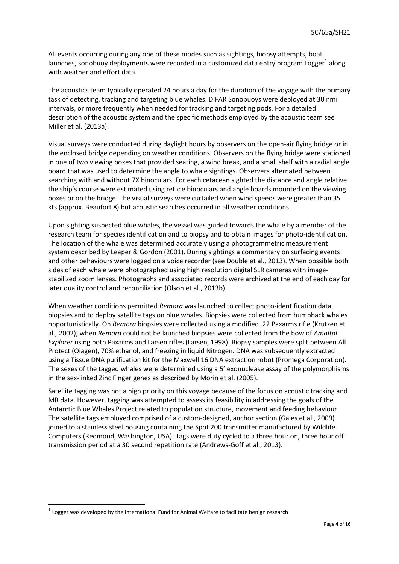All events occurring during any one of these modes such as sightings, biopsy attempts, boat launches, sonobuoy deployments were recorded in a customized data entry program Logger<sup>[1](#page-3-0)</sup> along with weather and effort data.

The acoustics team typically operated 24 hours a day for the duration of the voyage with the primary task of detecting, tracking and targeting blue whales. DIFAR Sonobuoys were deployed at 30 nmi intervals, or more frequently when needed for tracking and targeting pods. For a detailed description of the acoustic system and the specific methods employed by the acoustic team see Miller et al. (2013a).

Visual surveys were conducted during daylight hours by observers on the open-air flying bridge or in the enclosed bridge depending on weather conditions. Observers on the flying bridge were stationed in one of two viewing boxes that provided seating, a wind break, and a small shelf with a radial angle board that was used to determine the angle to whale sightings. Observers alternated between searching with and without 7X binoculars. For each cetacean sighted the distance and angle relative the ship's course were estimated using reticle binoculars and angle boards mounted on the viewing boxes or on the bridge. The visual surveys were curtailed when wind speeds were greater than 35 kts (approx. Beaufort 8) but acoustic searches occurred in all weather conditions.

Upon sighting suspected blue whales, the vessel was guided towards the whale by a member of the research team for species identification and to biopsy and to obtain images for photo-identification. The location of the whale was determined accurately using a photogrammetric measurement system described by Leaper & Gordon (2001). During sightings a commentary on surfacing events and other behaviours were logged on a voice recorder (see Double et al., 2013). When possible both sides of each whale were photographed using high resolution digital SLR cameras with imagestabilized zoom lenses. Photographs and associated records were archived at the end of each day for later quality control and reconciliation (Olson et al., 2013b).

When weather conditions permitted *Remora* was launched to collect photo-identification data, biopsies and to deploy satellite tags on blue whales. Biopsies were collected from humpback whales opportunistically. On *Remora* biopsies were collected using a modified .22 Paxarms rifle (Krutzen et al., 2002); when *Remora* could not be launched biopsies were collected from the bow of *Amaltal Explorer* using both Paxarms and Larsen rifles (Larsen, 1998). Biopsy samples were split between All Protect (Qiagen), 70% ethanol, and freezing in liquid Nitrogen. DNA was subsequently extracted using a Tissue DNA purification kit for the Maxwell 16 DNA extraction robot (Promega Corporation). The sexes of the tagged whales were determined using a 5' exonuclease assay of the polymorphisms in the sex-linked Zinc Finger genes as described by Morin et al. (2005).

Satellite tagging was not a high priority on this voyage because of the focus on acoustic tracking and MR data. However, tagging was attempted to assess its feasibility in addressing the goals of the Antarctic Blue Whales Project related to population structure, movement and feeding behaviour. The satellite tags employed comprised of a custom-designed, anchor section (Gales et al., 2009) joined to a stainless steel housing containing the Spot 200 transmitter manufactured by Wildlife Computers (Redmond, Washington, USA). Tags were duty cycled to a three hour on, three hour off transmission period at a 30 second repetition rate (Andrews-Goff et al., 2013).

 $\overline{a}$ 

<span id="page-3-0"></span>Logger was developed by the International Fund for Animal Welfare to facilitate benign research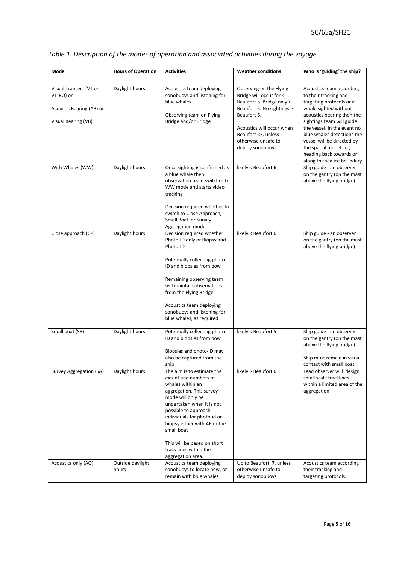| Mode                                                                                   | <b>Hours of Operation</b> | <b>Activities</b>                                                                                                                                                                                                                                                                                                                        | <b>Weather conditions</b>                                                                                                                                                                                                   | Who is 'guiding' the ship?                                                                                                                                                                                                                                                                                                                        |
|----------------------------------------------------------------------------------------|---------------------------|------------------------------------------------------------------------------------------------------------------------------------------------------------------------------------------------------------------------------------------------------------------------------------------------------------------------------------------|-----------------------------------------------------------------------------------------------------------------------------------------------------------------------------------------------------------------------------|---------------------------------------------------------------------------------------------------------------------------------------------------------------------------------------------------------------------------------------------------------------------------------------------------------------------------------------------------|
|                                                                                        |                           |                                                                                                                                                                                                                                                                                                                                          |                                                                                                                                                                                                                             |                                                                                                                                                                                                                                                                                                                                                   |
| Visual Transect (VT or<br>VT-BO) or<br>Acoustic Bearing (AB) or<br>Visual Bearing (VB) | Daylight hours            | Acoustics team deploying<br>sonobuoys and listening for<br>blue whales.<br>Observing team on Flying<br>Bridge and/or Bridge                                                                                                                                                                                                              | Observing on the Flying<br>Bridge will occur for <<br>Beaufort 5. Bridge only ><br>Beaufort 5. No sightings ><br>Beaufort 6.<br>Acoustics will occur when<br>Beaufort <7, unless<br>otherwise unsafe to<br>deploy sonobuoys | Acoustics team according<br>to their tracking and<br>targeting protocols or if<br>whale sighted without<br>acoustics bearing then the<br>sightings team will guide<br>the vessel. In the event no<br>blue whales detections the<br>vessel will be directed by<br>the spatial model i.e.,<br>heading back towards or<br>along the sea ice boundary |
| With Whales (WW)                                                                       | Daylight hours            | Once sighting is confirmed as<br>a blue whale then<br>observation team switches to<br>WW mode and starts video<br>tracking<br>Decision required whether to<br>switch to Close Approach,<br>Small Boat or Survey<br>Aggregation mode                                                                                                      | likely < Beaufort 6                                                                                                                                                                                                         | Ship guide - an observer<br>on the gantry (on the mast<br>above the flying bridge)                                                                                                                                                                                                                                                                |
| Close approach (CP)                                                                    | Daylight hours            | Decision required whether<br>Photo-ID only or Biopsy and<br>Photo-ID<br>Potentially collecting photo-<br>ID and biopsies from bow<br>Remaining observing team<br>will maintain observations<br>from the Flying Bridge<br>Acoustics team deploying<br>sonobuoys and listening for<br>blue whales, as required                             | likely < Beaufort 6                                                                                                                                                                                                         | Ship guide - an observer<br>on the gantry (on the mast<br>above the flying bridge)                                                                                                                                                                                                                                                                |
| Small boat (SB)                                                                        | Daylight hours            | Potentially collecting photo-<br>ID and biopsies from bow<br>Biopsies and photo-ID may<br>also be captured from the<br>ship                                                                                                                                                                                                              | likely < Beaufort 5                                                                                                                                                                                                         | Ship guide - an observer<br>on the gantry (on the mast<br>above the flying bridge)<br>Ship must remain in visual<br>contact with small boat                                                                                                                                                                                                       |
| Survey Aggregation (SA)                                                                | Daylight hours            | The aim is to estimate the<br>extent and numbers of<br>whales within an<br>aggregation. This survey<br>mode will only be<br>undertaken when it is not<br>possible to approach<br>individuals for photo-id or<br>biopsy either with AE or the<br>small boat<br>This will be based on short<br>track lines within the<br>aggregation area. | likely > Beaufort 6                                                                                                                                                                                                         | Lead observer will design<br>small scale tracklines<br>within a limited area of the<br>aggregation                                                                                                                                                                                                                                                |
| Acoustics only (AO)                                                                    | Outside daylight<br>hours | Acoustics team deploying<br>sonobuoys to locate new, or<br>remain with blue whales                                                                                                                                                                                                                                                       | Up to Beaufort 7, unless<br>otherwise unsafe to<br>deploy sonobuoys                                                                                                                                                         | Acoustics team according<br>their tracking and<br>targeting protocols.                                                                                                                                                                                                                                                                            |

# *Table 1. Description of the modes of operation and associated activities during the voyage.*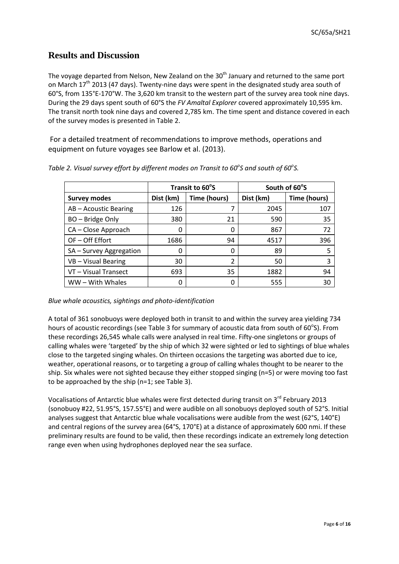# **Results and Discussion**

The voyage departed from Nelson, New Zealand on the 30<sup>th</sup> January and returned to the same port on March  $17<sup>th</sup>$  2013 (47 days). Twenty-nine days were spent in the designated study area south of 60°S, from 135°E-170°W. The 3,620 km transit to the western part of the survey area took nine days. During the 29 days spent south of 60°S the *FV Amaltal Explorer* covered approximately 10,595 km. The transit north took nine days and covered 2,785 km. The time spent and distance covered in each of the survey modes is presented in Table 2.

For a detailed treatment of recommendations to improve methods, operations and equipment on future voyages see Barlow et al. (2013).

|                         | Transit to 60°S |                | South of 60°S |              |
|-------------------------|-----------------|----------------|---------------|--------------|
| <b>Survey modes</b>     | Dist (km)       | Time (hours)   | Dist (km)     | Time (hours) |
| AB-Acoustic Bearing     | 126             |                | 2045          | 107          |
| BO - Bridge Only        | 380             | 21             | 590           | 35           |
| CA - Close Approach     | 0               | 0              | 867           | 72           |
| OF-Off Effort           | 1686            | 94             | 4517          | 396          |
| SA - Survey Aggregation | 0               | 0              | 89            | 5            |
| VB-Visual Bearing       | 30              | $\overline{2}$ | 50            | 3            |
| VT - Visual Transect    | 693             | 35             | 1882          | 94           |
| WW - With Whales        | 0               | 0              | 555           | 30           |

Table 2. Visual survey effort by different modes on Transit to 60<sup>°</sup>S and south of 60<sup>°</sup>S.

#### *Blue whale acoustics, sightings and photo-identification*

A total of 361 sonobuoys were deployed both in transit to and within the survey area yielding 734 hours of acoustic recordings (see Table 3 for summary of acoustic data from south of 60°S). From these recordings 26,545 whale calls were analysed in real time. Fifty-one singletons or groups of calling whales were 'targeted' by the ship of which 32 were sighted or led to sightings of blue whales close to the targeted singing whales. On thirteen occasions the targeting was aborted due to ice, weather, operational reasons, or to targeting a group of calling whales thought to be nearer to the ship. Six whales were not sighted because they either stopped singing (n=5) or were moving too fast to be approached by the ship (n=1; see Table 3).

Vocalisations of Antarctic blue whales were first detected during transit on 3<sup>rd</sup> February 2013 (sonobuoy #22, 51.95°S, 157.55°E) and were audible on all sonobuoys deployed south of 52°S. Initial analyses suggest that Antarctic blue whale vocalisations were audible from the west (62°S, 140°E) and central regions of the survey area (64°S, 170°E) at a distance of approximately 600 nmi. If these preliminary results are found to be valid, then these recordings indicate an extremely long detection range even when using hydrophones deployed near the sea surface.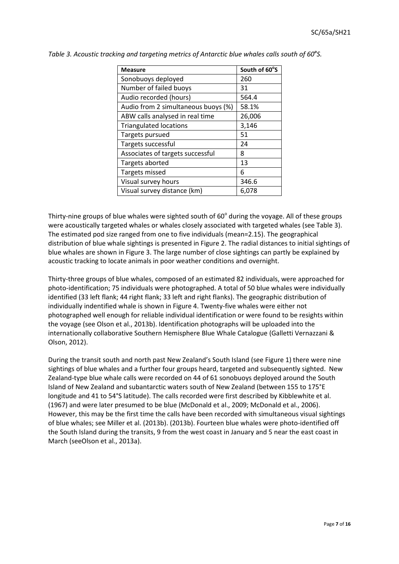| <b>Measure</b>                      | South of 60°S |
|-------------------------------------|---------------|
| Sonobuoys deployed                  | 260           |
| Number of failed buoys              | 31            |
| Audio recorded (hours)              | 564.4         |
| Audio from 2 simultaneous buoys (%) | 58.1%         |
| ABW calls analysed in real time     | 26,006        |
| <b>Triangulated locations</b>       | 3,146         |
| Targets pursued                     | 51            |
| Targets successful                  | 24            |
| Associates of targets successful    | 8             |
| Targets aborted                     | 13            |
| Targets missed                      | 6             |
| Visual survey hours                 | 346.6         |
| Visual survey distance (km)         | 6,078         |

|  |  | Table 3. Acoustic tracking and targeting metrics of Antarctic blue whales calls south of 60°S. |  |
|--|--|------------------------------------------------------------------------------------------------|--|
|  |  |                                                                                                |  |

Thirty-nine groups of blue whales were sighted south of  $60^\circ$  during the voyage. All of these groups were acoustically targeted whales or whales closely associated with targeted whales (see Table 3). The estimated pod size ranged from one to five individuals (mean=2.15). The geographical distribution of blue whale sightings is presented in Figure 2. The radial distances to initial sightings of blue whales are shown in Figure 3. The large number of close sightings can partly be explained by acoustic tracking to locate animals in poor weather conditions and overnight.

Thirty-three groups of blue whales, composed of an estimated 82 individuals, were approached for photo-identification; 75 individuals were photographed. A total of 50 blue whales were individually identified (33 left flank; 44 right flank; 33 left and right flanks). The geographic distribution of individually indentified whale is shown in Figure 4. Twenty-five whales were either not photographed well enough for reliable individual identification or were found to be resights within the voyage (see Olson et al., 2013b). Identification photographs will be uploaded into the internationally collaborative Southern Hemisphere Blue Whale Catalogue (Galletti Vernazzani & Olson, 2012).

During the transit south and north past New Zealand's South Island (see Figure 1) there were nine sightings of blue whales and a further four groups heard, targeted and subsequently sighted. New Zealand-type blue whale calls were recorded on 44 of 61 sonobuoys deployed around the South Island of New Zealand and subantarctic waters south of New Zealand (between 155 to 175°E longitude and 41 to 54°S latitude). The calls recorded were first described by Kibblewhite et al. (1967) and were later presumed to be blue (McDonald et al., 2009; McDonald et al., 2006). However, this may be the first time the calls have been recorded with simultaneous visual sightings of blue whales; see Miller et al. (2013b). (2013b). Fourteen blue whales were photo-identified off the South Island during the transits, 9 from the west coast in January and 5 near the east coast in March (seeOlson et al., 2013a).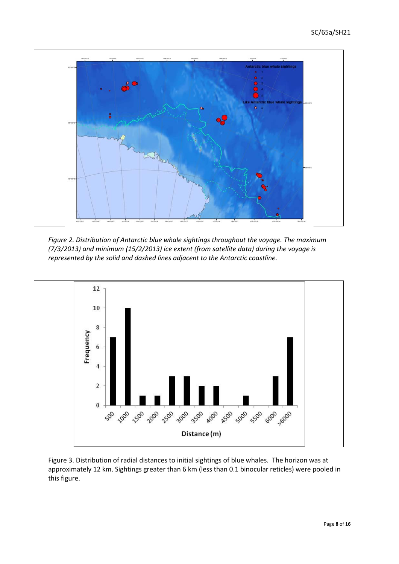

*Figure 2. Distribution of Antarctic blue whale sightings throughout the voyage. The maximum (7/3/2013) and minimum (15/2/2013) ice extent (from satellite data) during the voyage is represented by the solid and dashed lines adjacent to the Antarctic coastline.*



Figure 3. Distribution of radial distances to initial sightings of blue whales. The horizon was at approximately 12 km. Sightings greater than 6 km (less than 0.1 binocular reticles) were pooled in this figure.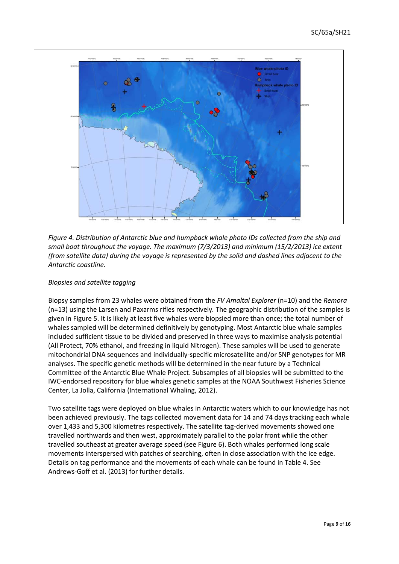

*Figure 4. Distribution of Antarctic blue and humpback whale photo IDs collected from the ship and small boat throughout the voyage. The maximum (7/3/2013) and minimum (15/2/2013) ice extent (from satellite data) during the voyage is represented by the solid and dashed lines adjacent to the Antarctic coastline.*

#### *Biopsies and satellite tagging*

Biopsy samples from 23 whales were obtained from the *FV Amaltal Explorer* (n=10) and the *Remora*  (n=13) using the Larsen and Paxarms rifles respectively*.* The geographic distribution of the samples is given in Figure 5. It is likely at least five whales were biopsied more than once; the total number of whales sampled will be determined definitively by genotyping. Most Antarctic blue whale samples included sufficient tissue to be divided and preserved in three ways to maximise analysis potential (All Protect, 70% ethanol, and freezing in liquid Nitrogen). These samples will be used to generate mitochondrial DNA sequences and individually-specific microsatellite and/or SNP genotypes for MR analyses. The specific genetic methods will be determined in the near future by a Technical Committee of the Antarctic Blue Whale Project. Subsamples of all biopsies will be submitted to the IWC-endorsed repository for blue whales genetic samples at the NOAA Southwest Fisheries Science Center, La Jolla, California (International Whaling, 2012).

Two satellite tags were deployed on blue whales in Antarctic waters which to our knowledge has not been achieved previously. The tags collected movement data for 14 and 74 days tracking each whale over 1,433 and 5,300 kilometres respectively. The satellite tag-derived movements showed one travelled northwards and then west, approximately parallel to the polar front while the other travelled southeast at greater average speed (see Figure 6). Both whales performed long scale movements interspersed with patches of searching, often in close association with the ice edge. Details on tag performance and the movements of each whale can be found in Table 4. See Andrews-Goff et al. (2013) for further details.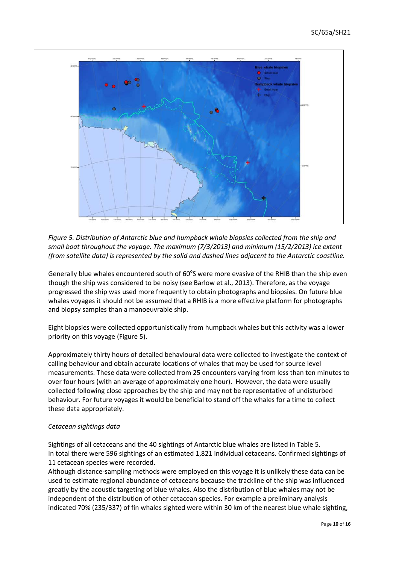

*Figure 5. Distribution of Antarctic blue and humpback whale biopsies collected from the ship and small boat throughout the voyage. The maximum (7/3/2013) and minimum (15/2/2013) ice extent (from satellite data) is represented by the solid and dashed lines adjacent to the Antarctic coastline.* 

Generally blue whales encountered south of 60°S were more evasive of the RHIB than the ship even though the ship was considered to be noisy (see Barlow et al., 2013). Therefore, as the voyage progressed the ship was used more frequently to obtain photographs and biopsies. On future blue whales voyages it should not be assumed that a RHIB is a more effective platform for photographs and biopsy samples than a manoeuvrable ship.

Eight biopsies were collected opportunistically from humpback whales but this activity was a lower priority on this voyage (Figure 5).

Approximately thirty hours of detailed behavioural data were collected to investigate the context of calling behaviour and obtain accurate locations of whales that may be used for source level measurements. These data were collected from 25 encounters varying from less than ten minutes to over four hours (with an average of approximately one hour). However, the data were usually collected following close approaches by the ship and may not be representative of undisturbed behaviour. For future voyages it would be beneficial to stand off the whales for a time to collect these data appropriately.

#### *Cetacean sightings data*

Sightings of all cetaceans and the 40 sightings of Antarctic blue whales are listed in Table 5. In total there were 596 sightings of an estimated 1,821 individual cetaceans. Confirmed sightings of 11 cetacean species were recorded.

Although distance-sampling methods were employed on this voyage it is unlikely these data can be used to estimate regional abundance of cetaceans because the trackline of the ship was influenced greatly by the acoustic targeting of blue whales. Also the distribution of blue whales may not be independent of the distribution of other cetacean species. For example a preliminary analysis indicated 70% (235/337) of fin whales sighted were within 30 km of the nearest blue whale sighting,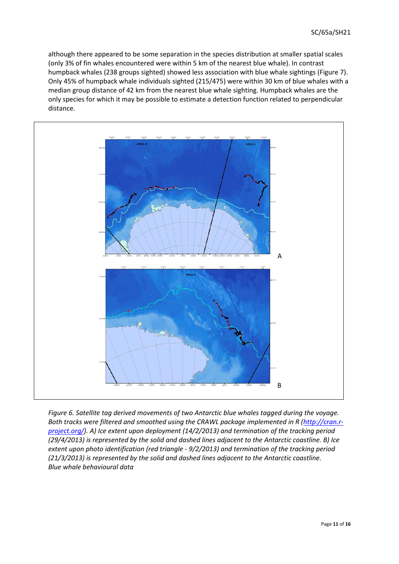although there appeared to be some separation in the species distribution at smaller spatial scales (only 3% of fin whales encountered were within 5 km of the nearest blue whale). In contrast humpback whales (238 groups sighted) showed less association with blue whale sightings (Figure 7). Only 45% of humpback whale individuals sighted (215/475) were within 30 km of blue whales with a median group distance of 42 km from the nearest blue whale sighting. Humpback whales are the only species for which it may be possible to estimate a detection function related to perpendicular distance.



*Figure 6. Satellite tag derived movements of two Antarctic blue whales tagged during the voyage.*  Both tracks were filtered and smoothed using the CRAWL package implemented in R [\(http://cran.r](http://cran.r-project.org/)*[project.org/\)](http://cran.r-project.org/). A) Ice extent upon deployment (14/2/2013) and termination of the tracking period (29/4/2013) is represented by the solid and dashed lines adjacent to the Antarctic coastline. B) Ice extent upon photo identification (red triangle - 9/2/2013) and termination of the tracking period (21/3/2013) is represented by the solid and dashed lines adjacent to the Antarctic coastline. Blue whale behavioural data*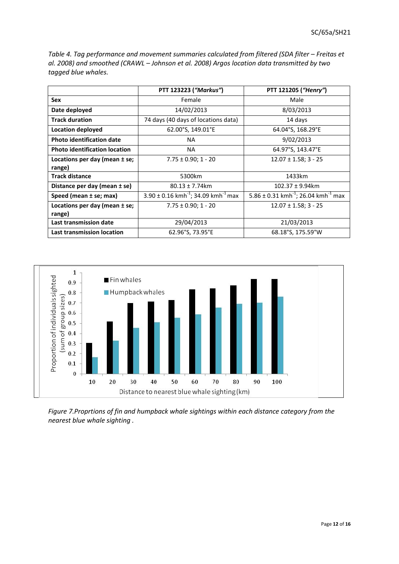|                                             | PTT 123223 ("Markus")                                           | PTT 121205 ("Henry")                                        |  |
|---------------------------------------------|-----------------------------------------------------------------|-------------------------------------------------------------|--|
| <b>Sex</b>                                  | Female                                                          | Male                                                        |  |
| Date deployed                               | 14/02/2013                                                      | 8/03/2013                                                   |  |
| <b>Track duration</b>                       | 74 days (40 days of locations data)                             | 14 days                                                     |  |
| Location deployed                           | 62.00°S, 149.01°E                                               | 64.04°S, 168.29°E                                           |  |
| <b>Photo identification date</b>            | NA.                                                             | 9/02/2013                                                   |  |
| <b>Photo identification location</b>        | NA.                                                             | 64.97°S, 143.47°E                                           |  |
| Locations per day (mean $\pm$ se;<br>range) | $7.75 \pm 0.90; 1 - 20$                                         | $12.07 \pm 1.58$ ; 3 - 25                                   |  |
| <b>Track distance</b>                       | 5300km                                                          | 1433km                                                      |  |
| Distance per day (mean ± se)                | $80.13 \pm 7.74$ km                                             | $102.37 \pm 9.94$ km                                        |  |
| Speed (mean ± se; max)                      | $3.90 \pm 0.16$ kmh <sup>-1</sup> ; 34.09 kmh <sup>-1</sup> max | 5.86 ± 0.31 kmh <sup>-1</sup> ; 26.04 kmh <sup>-1</sup> max |  |
| Locations per day (mean ± se;<br>range)     | $7.75 \pm 0.90; 1 - 20$                                         | $12.07 \pm 1.58$ ; 3 - 25                                   |  |
| Last transmission date                      | 29/04/2013                                                      | 21/03/2013                                                  |  |
| Last transmission location                  | 62.96°S, 73.95°E                                                | 68.18°S, 175.59°W                                           |  |

*Table 4. Tag performance and movement summaries calculated from filtered (SDA filter – Freitas et al. 2008) and smoothed (CRAWL – Johnson et al. 2008) Argos location data transmitted by two tagged blue whales.*



*Figure 7.Proprtions of fin and humpback whale sightings within each distance category from the nearest blue whale sighting .*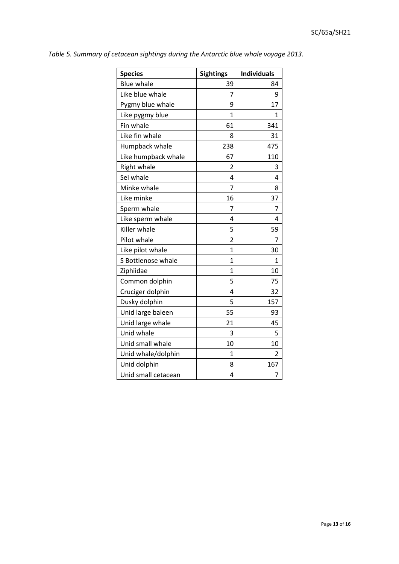| <b>Species</b>      | <b>Sightings</b> | <b>Individuals</b> |
|---------------------|------------------|--------------------|
| <b>Blue whale</b>   | 39               | 84                 |
| Like blue whale     | 7                | 9                  |
| Pygmy blue whale    | 9                | 17                 |
| Like pygmy blue     | $\mathbf{1}$     | 1                  |
| Fin whale           | 61               | 341                |
| Like fin whale      | 8                | 31                 |
| Humpback whale      | 238              | 475                |
| Like humpback whale | 67               | 110                |
| Right whale         | 2                | 3                  |
| Sei whale           | 4                | 4                  |
| Minke whale         | 7                | 8                  |
| Like minke          | 16               | 37                 |
| Sperm whale         | 7                | 7                  |
| Like sperm whale    | 4                | 4                  |
| Killer whale        | 5                | 59                 |
| Pilot whale         | 2                | 7                  |
| Like pilot whale    | $\mathbf{1}$     | 30                 |
| S Bottlenose whale  | $\mathbf{1}$     | 1                  |
| Ziphiidae           | 1                | 10                 |
| Common dolphin      | 5                | 75                 |
| Cruciger dolphin    | 4                | 32                 |
| Dusky dolphin       | 5                | 157                |
| Unid large baleen   | 55               | 93                 |
| Unid large whale    | 21               | 45                 |
| Unid whale          | 3                | 5                  |
| Unid small whale    | 10               | 10                 |
| Unid whale/dolphin  | 1                | 2                  |
| Unid dolphin        | 8                | 167                |
| Unid small cetacean | 4                | 7                  |

*Table 5. Summary of cetacean sightings during the Antarctic blue whale voyage 2013.*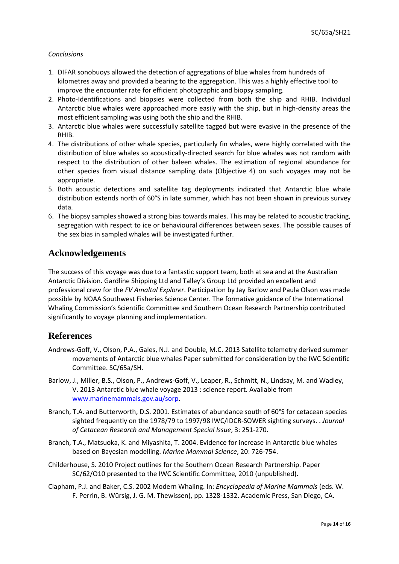#### *Conclusions*

- 1. DIFAR sonobuoys allowed the detection of aggregations of blue whales from hundreds of kilometres away and provided a bearing to the aggregation. This was a highly effective tool to improve the encounter rate for efficient photographic and biopsy sampling.
- 2. Photo-Identifications and biopsies were collected from both the ship and RHIB. Individual Antarctic blue whales were approached more easily with the ship, but in high-density areas the most efficient sampling was using both the ship and the RHIB.
- 3. Antarctic blue whales were successfully satellite tagged but were evasive in the presence of the RHIB.
- 4. The distributions of other whale species, particularly fin whales, were highly correlated with the distribution of blue whales so acoustically-directed search for blue whales was not random with respect to the distribution of other baleen whales. The estimation of regional abundance for other species from visual distance sampling data (Objective 4) on such voyages may not be appropriate.
- 5. Both acoustic detections and satellite tag deployments indicated that Antarctic blue whale distribution extends north of 60°S in late summer, which has not been shown in previous survey data.
- 6. The biopsy samples showed a strong bias towards males. This may be related to acoustic tracking, segregation with respect to ice or behavioural differences between sexes. The possible causes of the sex bias in sampled whales will be investigated further.

### **Acknowledgements**

The success of this voyage was due to a fantastic support team, both at sea and at the Australian Antarctic Division. Gardline Shipping Ltd and Talley's Group Ltd provided an excellent and professional crew for the *FV Amaltal Explorer*. Participation by Jay Barlow and Paula Olson was made possible by NOAA Southwest Fisheries Science Center. The formative guidance of the International Whaling Commission's Scientific Committee and Southern Ocean Research Partnership contributed significantly to voyage planning and implementation.

### **References**

- Andrews-Goff, V., Olson, P.A., Gales, N.J. and Double, M.C. 2013 Satellite telemetry derived summer movements of Antarctic blue whales Paper submitted for consideration by the IWC Scientific Committee. SC/65a/SH.
- Barlow, J., Miller, B.S., Olson, P., Andrews-Goff, V., Leaper, R., Schmitt, N., Lindsay, M. and Wadley, V. 2013 Antarctic blue whale voyage 2013 : science report. Available from [www.marinemammals.gov.au/sorp.](http://www.marinemammals.gov.au/sorp)
- Branch, T.A. and Butterworth, D.S. 2001. Estimates of abundance south of 60°S for cetacean species sighted frequently on the 1978/79 to 1997/98 IWC/IDCR-SOWER sighting surveys. . *Journal of Cetacean Research and Management Special Issue*, 3: 251-270.
- Branch, T.A., Matsuoka, K. and Miyashita, T. 2004. Evidence for increase in Antarctic blue whales based on Bayesian modelling. *Marine Mammal Science*, 20: 726-754.
- Childerhouse, S. 2010 Project outlines for the Southern Ocean Research Partnership. Paper SC/62/O10 presented to the IWC Scientific Committee, 2010 (unpublished).
- Clapham, P.J. and Baker, C.S. 2002 Modern Whaling. In: *Encyclopedia of Marine Mammals* (eds. W. F. Perrin, B. Würsig, J. G. M. Thewissen), pp. 1328-1332. Academic Press, San Diego, CA.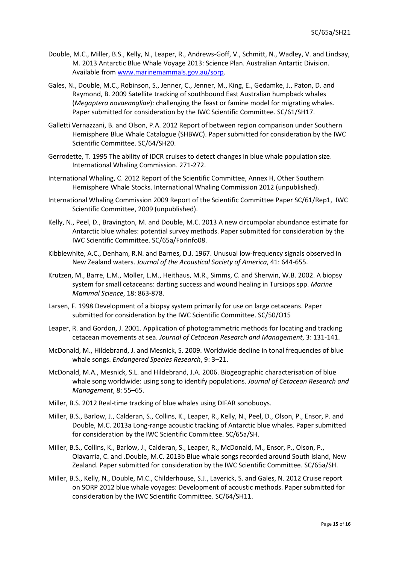- Double, M.C., Miller, B.S., Kelly, N., Leaper, R., Andrews-Goff, V., Schmitt, N., Wadley, V. and Lindsay, M. 2013 Antarctic Blue Whale Voyage 2013: Science Plan. Australian Antartic Division. Available from [www.marinemammals.gov.au/sorp.](http://www.marinemammals.gov.au/sorp)
- Gales, N., Double, M.C., Robinson, S., Jenner, C., Jenner, M., King, E., Gedamke, J., Paton, D. and Raymond, B. 2009 Satellite tracking of southbound East Australian humpback whales (*Megaptera novaeangliae*): challenging the feast or famine model for migrating whales. Paper submitted for consideration by the IWC Scientific Committee. SC/61/SH17.
- Galletti Vernazzani, B. and Olson, P.A. 2012 Report of between region comparison under Southern Hemisphere Blue Whale Catalogue (SHBWC). Paper submitted for consideration by the IWC Scientific Committee. SC/64/SH20.
- Gerrodette, T. 1995 The ability of IDCR cruises to detect changes in blue whale population size. International Whaling Commission. 271-272.
- International Whaling, C. 2012 Report of the Scientific Committee, Annex H, Other Southern Hemisphere Whale Stocks. International Whaling Commission 2012 (unpublished).
- International Whaling Commission 2009 Report of the Scientific Committee Paper SC/61/Rep1, IWC Scientific Committee, 2009 (unpublished).
- Kelly, N., Peel, D., Bravington, M. and Double, M.C. 2013 A new circumpolar abundance estimate for Antarctic blue whales: potential survey methods. Paper submitted for consideration by the IWC Scientific Committee. SC/65a/ForInfo08.
- Kibblewhite, A.C., Denham, R.N. and Barnes, D.J. 1967. Unusual low-frequency signals observed in New Zealand waters. *Journal of the Acoustical Society of America*, 41: 644-655.
- Krutzen, M., Barre, L.M., Moller, L.M., Heithaus, M.R., Simms, C. and Sherwin, W.B. 2002. A biopsy system for small cetaceans: darting success and wound healing in Tursiops spp. *Marine Mammal Science*, 18: 863-878.
- Larsen, F. 1998 Development of a biopsy system primarily for use on large cetaceans. Paper submitted for consideration by the IWC Scientific Committee. SC/50/O15
- Leaper, R. and Gordon, J. 2001. Application of photogrammetric methods for locating and tracking cetacean movements at sea. *Journal of Cetacean Research and Management*, 3: 131-141.
- McDonald, M., Hildebrand, J. and Mesnick, S. 2009. Worldwide decline in tonal frequencies of blue whale songs. *Endangered Species Research*, 9: 3–21.
- McDonald, M.A., Mesnick, S.L. and Hildebrand, J.A. 2006. Biogeographic characterisation of blue whale song worldwide: using song to identify populations. *Journal of Cetacean Research and Management*, 8: 55–65.
- Miller, B.S. 2012 Real-time tracking of blue whales using DIFAR sonobuoys.
- Miller, B.S., Barlow, J., Calderan, S., Collins, K., Leaper, R., Kelly, N., Peel, D., Olson, P., Ensor, P. and Double, M.C. 2013a Long-range acoustic tracking of Antarctic blue whales. Paper submitted for consideration by the IWC Scientific Committee. SC/65a/SH.
- Miller, B.S., Collins, K., Barlow, J., Calderan, S., Leaper, R., McDonald, M., Ensor, P., Olson, P., Olavarria, C. and .Double, M.C. 2013b Blue whale songs recorded around South Island, New Zealand. Paper submitted for consideration by the IWC Scientific Committee. SC/65a/SH.
- Miller, B.S., Kelly, N., Double, M.C., Childerhouse, S.J., Laverick, S. and Gales, N. 2012 Cruise report on SORP 2012 blue whale voyages: Development of acoustic methods. Paper submitted for consideration by the IWC Scientific Committee. SC/64/SH11.